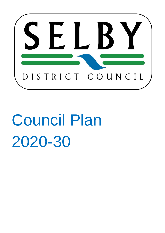

# Council Plan 2020-30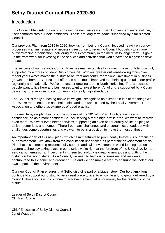# **Selby District Council Plan 2020-30**

## Introduction

This Council Plan sets out our vision over the next ten years. That it covers ten years, not five, in itself demonstrates our bold ambitions. These are long-term goals, supported by a far-sighted Council.

Our previous Plan, from 2015 to 2020, took us from being a Council focused heavily on our own processes – an immediate and necessary response to reducing Council budgets - to a more outward-facing organisation, delivering for our community in the medium to longer term. It gave us the framework for investing in the services and activities that would have the biggest positive impact.

The success of our previous Council Plan has manifested itself in a much more confident district, supported by a more confident District Council. With our greater outward-looking focus over recent years we've moved the district to be front and centre for regional investment in business growth and homes. Our cultural offer has been much improved too, helping us to raise our profile regionally and nationally. We're the fastest-growing area in North Yorkshire. That's because people want to live here and businesses want to invest here. All of this is supported by a Council delivering core services to our community to really high standards.

The Council is really punching above its weight - recognised as a leader in lots of the things we do. We're represented on national bodies and our work is used by the Local Government Association and others as examples of good practice.

This new ten-year plan builds on the success of the 2015-20 Plan. Confidence breeds confidence, so as a more confident Council serving a more high-profile area, we want to improve even more. We want even better services, supporting an even better quality of life, helping to deliver better jobs and homes. There'll be many challenges and uncertainties ahead, but with challenges come opportunities and we want to be in a position to make the most of these.

An important part of this new plan - which hasn't featured so prominently before - is our focus on our environment. We know from the consultation undertaken as part of the development of this Plan that it is something residents fully support and, with investment in world-leading carbon capture technology taking place in our district, we're right at the forefront of the UK's drive for net zero carbon emissions. Investment in green technology is creating new jobs and putting the district on the world stage. As a Council, we need to help our businesses and residents contribute to this cleaner and greener future and we can make a start by ensuring we look at our own impact on the environment.

Our new Council Plan ensures that Selby district is part of a bigger story. Our bold ambitions continue to support our district to be a great place to live, to enjoy life and to grow, delivered by a Council whose focus is to continue to achieve the best value for money for the residents of the district.

Leader of Selby District Council Cllr Mark Crane

Chief Executive of Selby District Council Janet Waggott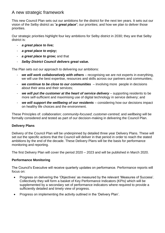## A new strategic framework

This new Council Plan sets out our ambitions for the district for the next ten years. It sets out our vision of the Selby district as "*a great place*"; our priorities; and how we plan to deliver those priorities.

Our strategic priorities highlight four key ambitions for Selby district in 2030; they are that Selby district is:

- *a great place to live;*
- *a great place to enjoy;*
- *a great place to grow;* and that
- *Selby District Council delivers great value.*

The Plan sets out our approach to delivering our ambitions:

- we will work collaboratively with others recognising we are not experts in everything, we will use the best expertise, resources and skills across our partners and communities;
- we continue to be close to our communities involving more people in decisions about their area and their services;
- we will put the customer at the heart of service delivery supporting residents to be more self-sufficient and maximising use of digital technology in service delivery; and
- we will support the wellbeing of our residents considering how our decisions impact on healthy life choices and the environment.

These Principles of: *collaboration*; *community-focused*; *customer-centred*; and *wellbeing* will be formally considered and tested as part of our decision-making in delivering the Council Plan.

### **Delivery Plans**

Delivery of the Council Plan will be underpinned by detailed three year Delivery Plans. These will set out the specific actions that the Council will deliver in that period in order to reach the stated ambitions by the end of the decade. These Delivery Plans will be the basis for performance monitoring and reporting.

The first Delivery Plan will cover the period 2020 – 2023 and will be published in March 2020.

### **Performance Monitoring**

The Council's Executive will receive quarterly updates on performance. Performance reports will focus on:

- Progress on delivering the 'Objectives' as measured by the relevant 'Measures of Success'. Collectively they will form a basket of Key Performance Indicators (KPIs) which will be supplemented by a secondary set of performance indicators where required to provide a sufficiently detailed and timely view of progress.
- Progress on implementing the activity outlined in the 'Delivery Plan'.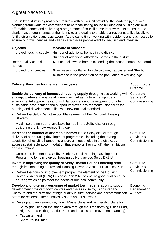# A great place to LIVE

The Selby district is a great place to live – with a Council providing the leadership, the local planning framework, the commitment to both facilitating house building and building our own affordable homes and delivering a programme of council home improvements to ensure the district has enough homes of the right size and quality to enable our residents to live locally to fulfil their ambitions and aspirations. At the same time, working with residents and businesses to ensure our town centres and villages are places people want to live, visit and invest in.

| <b>Objective</b>                | <b>Measure of success:</b>                                       |
|---------------------------------|------------------------------------------------------------------|
| Improved housing supply         | Number of additional homes in the district.                      |
|                                 | Number of additional affordable homes in the district            |
| Better quality council<br>homes | % of council owned homes exceeding the 'decent homes' standard   |
| Improved town centres           | % increase in footfall within Selby town, Tadcaster and Sherburn |
|                                 | % increase in the proportion of the population of working age    |

### **Delivery Priorities for the first three years <b>Accountable Accountable Accountable**

**Enable the delivery of increased housing supply** through close working with Corporate strategic partners to ensure alignment with infrastructure, transport and environmental approaches and, with landowners and developers, promote sustainable development and support improved environmental standards for housing and development in line with new national standards.

- Deliver the Selby District Action Plan element of the Regional Housing Strategy.
- Maximise the number of available homes in the Selby district through delivering the Empty Homes Strategy.

**Increase the number of affordable homes** in the Selby district through delivery of our housing development programme - including the strategic acquisition of existing homes - to ensure all households in the district can access sustainable accommodation that supports them to fulfil their ambitions and aspirations.

- Create and implement a Selby District Council Housing Development Programme to help 'step up' housing delivery across Selby District.

**Invest in improving the quality of Selby District Council housing stock** through implementing the revised Housing Revenue Account Business Plan

- Deliver the housing improvement programme element of the Housing Revenue Account (HRA) Business Plan 2025 to ensure good quality council housing which helps meet the needs of our local community.

**Develop a long-term programme of market town regeneration** to support development of vibrant town centres and places in Selby, Tadcaster and Sherburn and the provision of high quality leisure, service and accommodation offers for residents, their families, visitors and businesses.

- Develop and implement Key Town Masterplans and partnership plans for:
	- Selby (focusing on the station area through the Transforming Cities Fund, High Streets Heritage Action Zone and access and movement planning);
	- Tadcaster; and
	- Sherburn-in-Elmet

**Director**

Services & **Commissioning** 

**Corporate** Services & **Commissioning** 

**Corporate** Services & **Commissioning** 

Economic **Regeneration** & Place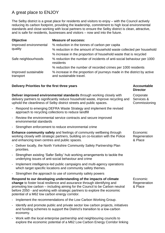# A great place to ENJOY

The Selby district is a great place for residents and visitors to enjoy – with the Council actively reducing its carbon footprint, providing the leadership, commitment to high local environmental standards and close working with local partners to ensure the Selby district is clean, attractive, and is safe for residents, businesses and visitors – now and into the future.

| <b>Objective</b>                  | <b>Measure of success:</b>                                                                         |
|-----------------------------------|----------------------------------------------------------------------------------------------------|
| Improved environmental            | % reduction in the tonnes of carbon per capita                                                     |
| quality                           | % reduction in the amount of household waste collected per household                               |
|                                   | % increase in the proportion of household waste that is recycled                                   |
| Safe neighbourhoods               | % reduction the number of incidents of anti-social behaviour per 1000<br>residents                 |
|                                   | % reduction the number of recorded crimes per 1000 residents                                       |
| Improved sustainable<br>transport | % increase in the proportion of journeys made in the district by active<br>and sustainable travel. |

### **Delivery Priorities for the first three years Accountable Accountable**

**Deliver improved environmental standards** through working closely with delivery partners to significantly reduce household waste, improve recycling and uphold the cleanliness of Selby district streets and public spaces.

- Respond to emerging DEFRA Waste Strategy and implement the revised approach to recycling collections to reduce landfill
- Review the environmental service contracts and secure improved environmental standards
- Strengthen enforcement to reduce environmental crime

**Enhance community safety** and feelings of community wellbeing through working closely with strategic partners, building on co-location with the Police and enhancing town centres and public spaces.

- Deliver locally, the North Yorkshire Community Safety Partnership Plan priorities.
- Strengthen existing 'Safer Selby' hub working arrangements to tackle the underlying issues of anti-social behaviour and crime
- Implement intelligence-led public campaigns and multi-agency operations which target specific locations and community safety themes.
- Strengthen the approach to use of community safety powers

**Respond to our developing understanding of the impacts of climate change** to foster local resilience and assurance through identifying and promoting low carbon – including aiming for the Council to be Carbon neutral before 2050 - and working with strategic partners to explore the economic potential of a M62 low carbon energy corridor.

- Implement the recommendations of the Low Carbon Working Group.
- Identify and promote public and private sector low carbon projects, initiatives and funding schemes to support the District's transition to a low-carbon economy.
- Work with the local enterprise partnership and neighbouring councils to explore the economic potential of a M62 Low Carbon Energy Corridor linking

**Director**

**Corporate** Services & **Commissioning** 

Economic **Regeneration** & Place

Economic Regeneration & Place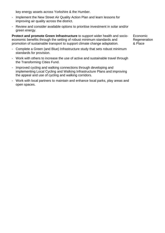key energy assets across Yorkshire & the Humber.

- Implement the New Street Air Quality Action Plan and learn lessons for improving air quality across the district.
- Review and consider available options to prioritise investment in solar and/or green energy.

**Protect and promote Green Infrastructure** to support wider health and socioeconomic benefits through the setting of robust minimum standards and promotion of sustainable transport to support climate change adaptation.

- Complete a Green (and Blue) Infrastructure study that sets robust minimum standards for provision.
- Work with others to increase the use of active and sustainable travel through the Transforming Cities Fund.
- Improved cycling and walking connections through developing and implementing Local Cycling and Walking Infrastructure Plans and improving the appeal and use of cycling and walking corridors.
- Work with local partners to maintain and enhance local parks, play areas and open spaces.

Economic Regeneration & Place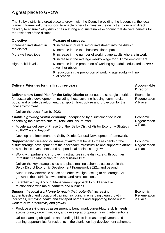# A great place to GROW

The Selby district is a great place to grow - with the Council providing the leadership, the local planning framework, the support to enable others to invest in the district and our own direct delivery to ensure Selby district has a strong and sustainable economy that delivers benefits for the residents of the district.

| <b>Objective</b>        | <b>Measure of success:</b>                                                             |
|-------------------------|----------------------------------------------------------------------------------------|
| Increased investment in | % increase in private sector investment into the district                              |
| the district            | % increase in the total business floor space                                           |
| More well paid jobs     | % increase in the number of working age adults who are in work                         |
|                         | % increase in the average weekly wage for full time employment.                        |
| Higher skill levels     | % increase in the proportion of working age adults educated to NVQ<br>Level 4 or above |
|                         | % reduction in the proportion of working age adults with no<br>qualification           |

### **Delivery Priorities for the first three years <b>Accountable Accountable Accountable**

**Deliver a new Local Plan for the Selby District** to set out the strategic priorities for sustainable development - including those covering housing, commercial, public and private development, transport infrastructure and protection for the local environment.

Deliver the Local Plan by 2023

*Enable a growing visitor economy* underpinned by a sustained focus on enhancing the district's cultural, retail and leisure offer.

- Accelerate delivery of Phase 3 of the 'Selby District Visitor Economy Strategy 2018-22 – and beyond'.
- Develop and implement the Selby District Cultural Development Framework.

*Support enterprise and business growth* that benefits the residents of the district through development of the necessary infrastructure and support to attract new business investments and support local business to grow.

- Work with partners to improve infrastructure in the district, e.g. through an Infrastructure Masterplan for Sherburn-in-Elmet
- Deliver the key strategic sites and place making schemes as set out in the Selby District Economic Development Framework 2022…and beyond
- Support new enterprise space and effective sign posting to encourage SME growth in the district's town centres and rural locations;
- Establish a 'Key Account Management' approach to build effective relationships with major partners and business.

*Support the local workforce to reach their potential*: increasing apprenticeship and vocational training, including in emerging clean growth industries, removing health and transport barriers and supporting those out of work to drive productivity and growth.

- Produce a skills needs assessment to benchmark current/future skills needs across priority growth sectors, and develop appropriate training interventions
- Utilise planning obligations and funding bids to increase employment and training opportunities for residents in the district on key development schemes.

**Director** Economic

**Regeneration** & Place

Economic **Regeneration** & Place

Economic Regeneration & Place

Economic **Regeneration** & Place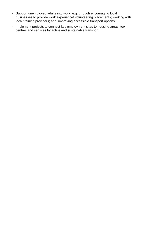- Support unemployed adults into work, e.g. through encouraging local businesses to provide work experience/ volunteering placements; working with local training providers; and improving accessible transport options;
- Implement projects to connect key employment sites to housing areas, town centres and services by active and sustainable transport.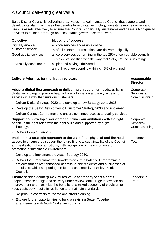# A Council delivering great value

Selby District Council is delivering great value – a well-managed Council that supports and develops its staff, maximises the benefits from digital technology, invests resources wisely and uses its assets effectively to ensure the Council is financially sustainable and delivers high quality services to residents through an accountable governance framework.

| <b>Objective</b>        | <b>Measure of success:</b>                                         |
|-------------------------|--------------------------------------------------------------------|
| Digitally enabled       | all core services accessible online                                |
| customer service        | % of all customer transactions are delivered digitally             |
| Good quality services   | all core services performing in the top 25% of comparable councils |
|                         | % residents satisfied with the way that Selby Council runs things  |
| Financially sustainable | all planned savings delivered                                      |
|                         | annual revenue spend is within $+/- 2\%$ of planned                |

### **Delivery Priorities for the first three years <b>Accountable Accountable**

**Director**

| Adopt a digital first approach to delivering on customer needs, utilising<br>digital technology to provide help, advice, information and easy access to<br>services in a way that suits our customers. | Corporate<br>Services &<br>Commissioning                                                                                                                                                                                                                                                   |                                          |
|--------------------------------------------------------------------------------------------------------------------------------------------------------------------------------------------------------|--------------------------------------------------------------------------------------------------------------------------------------------------------------------------------------------------------------------------------------------------------------------------------------------|------------------------------------------|
|                                                                                                                                                                                                        | - Deliver Digital Strategy 2020 and develop a new Strategy up to 2025                                                                                                                                                                                                                      |                                          |
|                                                                                                                                                                                                        | - Develop the Selby District Council Customer Strategy 2030 and implement                                                                                                                                                                                                                  |                                          |
|                                                                                                                                                                                                        | - Deliver Contact Centre move to ensure continued access to quality services                                                                                                                                                                                                               |                                          |
|                                                                                                                                                                                                        | Support and develop a workforce to deliver our ambitions with the right<br>people in the right roles with the right skills and supported by digital<br>technology.                                                                                                                         | Corporate<br>Services &<br>Commissioning |
|                                                                                                                                                                                                        | - Deliver People Plan 2025                                                                                                                                                                                                                                                                 |                                          |
|                                                                                                                                                                                                        | Implement a strategic approach to the use of our physical and financial<br>assets to ensure they support the future financial sustainability of the Council<br>and realisation of our ambitions, with recognition of the importance of<br>promoting a sustainable environment.             | Leadership<br>Team                       |
|                                                                                                                                                                                                        | - Develop and implement the Asset Strategy 2030.                                                                                                                                                                                                                                           |                                          |
| $\overline{\phantom{0}}$                                                                                                                                                                               | Deliver the 'Programme for Growth' to ensure a balanced programme of<br>projects that deliver enhanced benefits for the residents and businesses of<br>the district whilst supporting the future sustainability of Selby District<br>Council.                                              |                                          |
|                                                                                                                                                                                                        | Ensure service delivery maximises value for money for residents,<br>keeping service design and delivery under review, encourage innovation and<br>improvement and maximise the benefits of a mixed economy of provision to<br>keep costs down, build in resilience and maintain standards. | Leadership<br>Team                       |
|                                                                                                                                                                                                        | - Re-procure contracts for waste and street cleaning.                                                                                                                                                                                                                                      |                                          |
| $\overline{\phantom{0}}$                                                                                                                                                                               | Explore further opportunities to build on existing Better Together<br>arrangements with North Yorkshire councils                                                                                                                                                                           |                                          |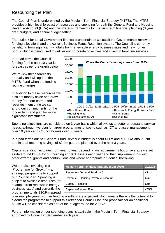# Resourcing the Plan

The Council Plan is underpinned by the Medium Term Financial Strategy (MTFS). The MTFS provides a high level forecast of resources and spending for both the General Fund and Housing Revenue Account (HRA) and the strategic framework for medium term financial planning (3 year draft budgets) and annual budget setting.

The outlook for Local Government finance is uncertain as we await the Government's review of funding allocations and the current Business Rates Retention system. The Council is currently benefitting from significant windfalls from renewable energy business rates and new homes bonus which is being used to deliver our corporate objectives and invest in front line services.

In broad terms the Council funding for the next 10 year is forecast as per the graph below:

We review these forecasts annually and will update the MTFS if and when the funding regime changes.

In addition to these resources we also set money aside and draw money from our earmarked reserves – ensuring we can afford our commitments for the longer term and plan for more significant investments.



Spending allocations are considered on 3 year basis which allows us to better understand service needs, although we plan for larger programmes of spend such as ICT and asset management over 10 years and Council homes over 30 years.

In broad terms our net General Fund Revenue Budget is about £11m and our HRA about £7m and in total recurring savings of £2.4m p.a. are planned over the next 3 years.

Capital spending fluctuates from year to year depending on requirements but on average we set aside around £400k for our building and ICT assets each year and then supplement this with other external grants and contributions and where appropriate prudential borrowing.

We are also investing in a 'Programme for Growth' – a strategic programme to support our Council Plan. Spending is subject to available resources (for example from renewable energy business rates) and currently the programme totals £10.9m spread

| <b>Medium Term Financial Strategy (Sept 2019)</b> |      |
|---------------------------------------------------|------|
| Revenue - General Fund (net)                      | £11m |
| Revenue – Housing Revenue Account                 |      |
| Capital - Housing<br>£5m                          |      |
| Capital - General Fund                            |      |

over multiple years. Further funding windfalls are expected which means there is the potential to extend the programme to support this refreshed Council Plan and proposals for an additional £8.5m will be considered as part of the budget round for 2020/21.

Further information on our spending plans is available in the Medium Term Financial Strategy approved by Council in September each year.